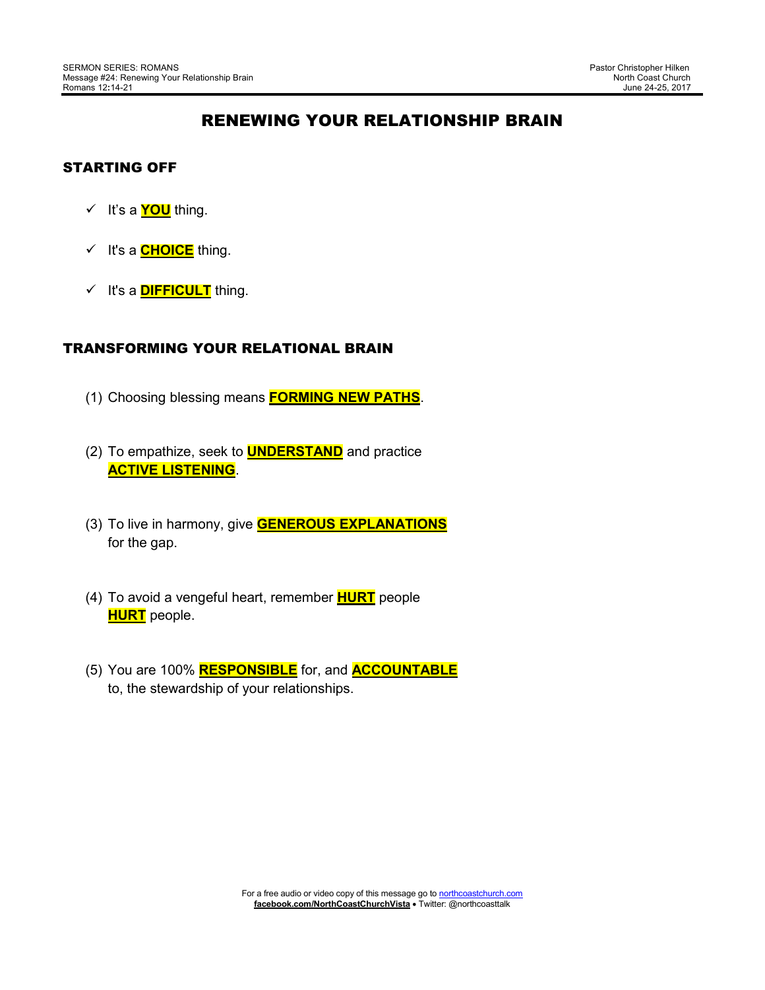# RENEWING YOUR RELATIONSHIP BRAIN

#### STARTING OFF

- It's a **YOU** thing.
- **✓** It's a **CHOICE** thing.
- **✓** It's a **DIFFICULT** thing.

#### TRANSFORMING YOUR RELATIONAL BRAIN

- (1) Choosing blessing means **FORMING NEW PATHS**.
- (2) To empathize, seek to **UNDERSTAND** and practice **ACTIVE LISTENING**.
- (3) To live in harmony, give **GENEROUS EXPLANATIONS** for the gap.
- (4) To avoid a vengeful heart, remember **HURT** people **HURT** people.
- (5) You are 100% **RESPONSIBLE** for, and **ACCOUNTABLE** to, the stewardship of your relationships.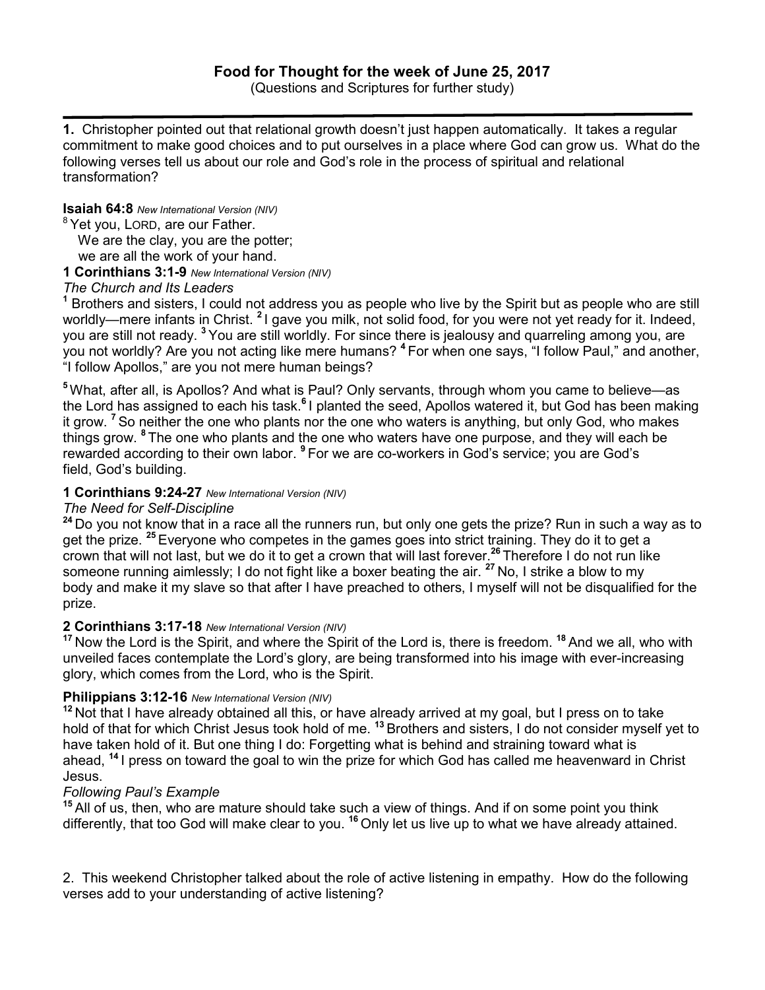(Questions and Scriptures for further study)

**1.** Christopher pointed out that relational growth doesn't just happen automatically. It takes a regular commitment to make good choices and to put ourselves in a place where God can grow us. What do the following verses tell us about our role and God's role in the process of spiritual and relational transformation?

### **Isaiah 64:8** *New International Version (NIV)*

<sup>8</sup> Yet you, LORD, are our Father.

We are the clay, you are the potter;

we are all the work of your hand.

**1 Corinthians 3:1-9** *New International Version (NIV)* 

### *The Church and Its Leaders*

**<sup>1</sup>** Brothers and sisters, I could not address you as people who live by the Spirit but as people who are still worldly—mere infants in Christ. **<sup>2</sup>**I gave you milk, not solid food, for you were not yet ready for it. Indeed, you are still not ready. **<sup>3</sup>**You are still worldly. For since there is jealousy and quarreling among you, are you not worldly? Are you not acting like mere humans? **<sup>4</sup>**For when one says, "I follow Paul," and another, "I follow Apollos," are you not mere human beings?

**<sup>5</sup>**What, after all, is Apollos? And what is Paul? Only servants, through whom you came to believe—as the Lord has assigned to each his task.**<sup>6</sup>**I planted the seed, Apollos watered it, but God has been making it grow. **<sup>7</sup>**So neither the one who plants nor the one who waters is anything, but only God, who makes things grow. **<sup>8</sup>**The one who plants and the one who waters have one purpose, and they will each be rewarded according to their own labor. **<sup>9</sup>**For we are co-workers in God's service; you are God's field, God's building.

### **1 Corinthians 9:24-27** *New International Version (NIV)*

# *The Need for Self-Discipline*

**<sup>24</sup>**Do you not know that in a race all the runners run, but only one gets the prize? Run in such a way as to get the prize. **<sup>25</sup>**Everyone who competes in the games goes into strict training. They do it to get a crown that will not last, but we do it to get a crown that will last forever.**<sup>26</sup>**Therefore I do not run like someone running aimlessly; I do not fight like a boxer beating the air. **<sup>27</sup>**No, I strike a blow to my body and make it my slave so that after I have preached to others, I myself will not be disqualified for the prize.

### **2 Corinthians 3:17-18** *New International Version (NIV)*

**<sup>17</sup>**Now the Lord is the Spirit, and where the Spirit of the Lord is, there is freedom. **<sup>18</sup>**And we all, who with unveiled faces contemplate the Lord's glory, are being transformed into his image with ever-increasing glory, which comes from the Lord, who is the Spirit.

### **Philippians 3:12-16** *New International Version (NIV)*

**<sup>12</sup>**Not that I have already obtained all this, or have already arrived at my goal, but I press on to take hold of that for which Christ Jesus took hold of me. **<sup>13</sup>**Brothers and sisters, I do not consider myself yet to have taken hold of it. But one thing I do: Forgetting what is behind and straining toward what is ahead, **<sup>14</sup>**I press on toward the goal to win the prize for which God has called me heavenward in Christ Jesus.

# *Following Paul's Example*

**<sup>15</sup>**All of us, then, who are mature should take such a view of things. And if on some point you think differently, that too God will make clear to you. **<sup>16</sup>**Only let us live up to what we have already attained.

2.This weekend Christopher talked about the role of active listening in empathy. How do the following verses add to your understanding of active listening?